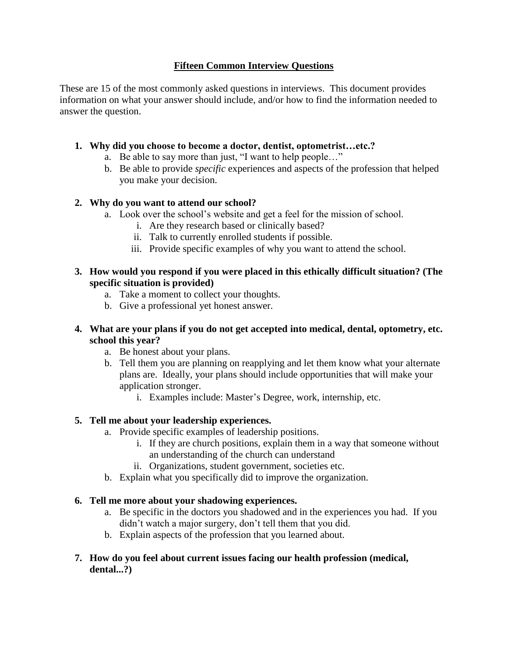# **Fifteen Common Interview Questions**

These are 15 of the most commonly asked questions in interviews. This document provides information on what your answer should include, and/or how to find the information needed to answer the question.

# **1. Why did you choose to become a doctor, dentist, optometrist…etc.?**

- a. Be able to say more than just, "I want to help people…"
- b. Be able to provide *specific* experiences and aspects of the profession that helped you make your decision.

# **2. Why do you want to attend our school?**

- a. Look over the school's website and get a feel for the mission of school.
	- i. Are they research based or clinically based?
	- ii. Talk to currently enrolled students if possible.
	- iii. Provide specific examples of why you want to attend the school.

## **3. How would you respond if you were placed in this ethically difficult situation? (The specific situation is provided)**

- a. Take a moment to collect your thoughts.
- b. Give a professional yet honest answer.
- **4. What are your plans if you do not get accepted into medical, dental, optometry, etc. school this year?**
	- a. Be honest about your plans.
	- b. Tell them you are planning on reapplying and let them know what your alternate plans are. Ideally, your plans should include opportunities that will make your application stronger.
		- i. Examples include: Master's Degree, work, internship, etc.

# **5. Tell me about your leadership experiences.**

- a. Provide specific examples of leadership positions.
	- i. If they are church positions, explain them in a way that someone without an understanding of the church can understand
	- ii. Organizations, student government, societies etc.
- b. Explain what you specifically did to improve the organization.

## **6. Tell me more about your shadowing experiences.**

- a. Be specific in the doctors you shadowed and in the experiences you had. If you didn't watch a major surgery, don't tell them that you did.
- b. Explain aspects of the profession that you learned about.

## **7. How do you feel about current issues facing our health profession (medical, dental...?)**